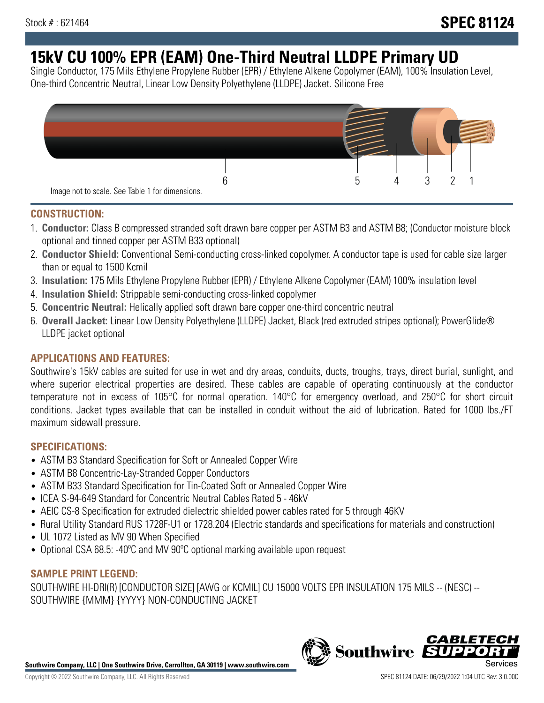# **15kV CU 100% EPR (EAM) One-Third Neutral LLDPE Primary UD**

Single Conductor, 175 Mils Ethylene Propylene Rubber (EPR) / Ethylene Alkene Copolymer (EAM), 100% Insulation Level, One-third Concentric Neutral, Linear Low Density Polyethylene (LLDPE) Jacket. Silicone Free



### **CONSTRUCTION:**

- 1. **Conductor:** Class B compressed stranded soft drawn bare copper per ASTM B3 and ASTM B8; (Conductor moisture block optional and tinned copper per ASTM B33 optional)
- 2. **Conductor Shield:** Conventional Semi-conducting cross-linked copolymer. A conductor tape is used for cable size larger than or equal to 1500 Kcmil
- 3. **Insulation:** 175 Mils Ethylene Propylene Rubber (EPR) / Ethylene Alkene Copolymer (EAM) 100% insulation level
- 4. **Insulation Shield:** Strippable semi-conducting cross-linked copolymer
- 5. **Concentric Neutral:** Helically applied soft drawn bare copper one-third concentric neutral
- 6. **Overall Jacket:** Linear Low Density Polyethylene (LLDPE) Jacket, Black (red extruded stripes optional); PowerGlide® LLDPE jacket optional

### **APPLICATIONS AND FEATURES:**

Southwire's 15kV cables are suited for use in wet and dry areas, conduits, ducts, troughs, trays, direct burial, sunlight, and where superior electrical properties are desired. These cables are capable of operating continuously at the conductor temperature not in excess of 105°C for normal operation. 140°C for emergency overload, and 250°C for short circuit conditions. Jacket types available that can be installed in conduit without the aid of lubrication. Rated for 1000 lbs./FT maximum sidewall pressure.

### **SPECIFICATIONS:**

- ASTM B3 Standard Specification for Soft or Annealed Copper Wire
- ASTM B8 Concentric-Lay-Stranded Copper Conductors
- ASTM B33 Standard Specification for Tin-Coated Soft or Annealed Copper Wire
- ICEA S-94-649 Standard for Concentric Neutral Cables Rated 5 46kV
- AEIC CS-8 Specification for extruded dielectric shielded power cables rated for 5 through 46KV
- Rural Utility Standard RUS 1728F-U1 or 1728.204 (Electric standards and specifications for materials and construction)
- UL 1072 Listed as MV 90 When Specified
- Optional CSA 68.5: -40°C and MV 90°C optional marking available upon request

### **SAMPLE PRINT LEGEND:**

SOUTHWIRE HI-DRI(R) [CONDUCTOR SIZE] [AWG or KCMIL] CU 15000 VOLTS EPR INSULATION 175 MILS -- (NESC) -- SOUTHWIRE {MMM} {YYYY} NON-CONDUCTING JACKET

**Southwire Company, LLC | One Southwire Drive, Carrollton, GA 30119 | www.southwire.com**